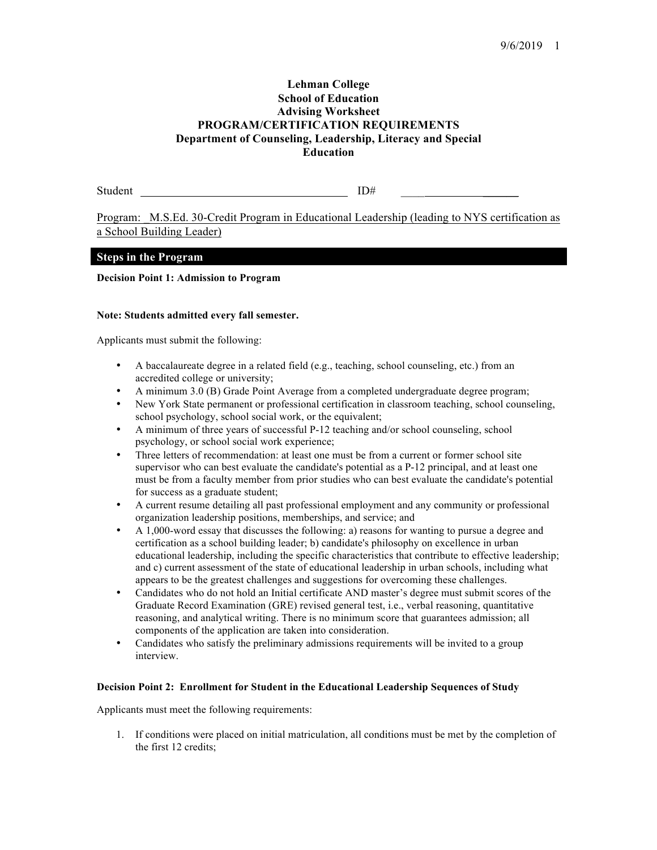# **Lehman College School of Education Advising Worksheet PROGRAM/CERTIFICATION REQUIREMENTS Department of Counseling, Leadership, Literacy and Special Education**

Student ID#

Program: M.S.Ed. 30-Credit Program in Educational Leadership (leading to NYS certification as a School Building Leader)

## **Steps in the Program**

## **Decision Point 1: Admission to Program**

#### **Note: Students admitted every fall semester.**

Applicants must submit the following:

- A baccalaureate degree in a related field (e.g., teaching, school counseling, etc.) from an accredited college or university;
- A minimum 3.0 (B) Grade Point Average from a completed undergraduate degree program;
- New York State permanent or professional certification in classroom teaching, school counseling, school psychology, school social work, or the equivalent;
- A minimum of three years of successful P-12 teaching and/or school counseling, school psychology, or school social work experience;
- Three letters of recommendation: at least one must be from a current or former school site supervisor who can best evaluate the candidate's potential as a P-12 principal, and at least one must be from a faculty member from prior studies who can best evaluate the candidate's potential for success as a graduate student;
- A current resume detailing all past professional employment and any community or professional organization leadership positions, memberships, and service; and
- A 1,000-word essay that discusses the following: a) reasons for wanting to pursue a degree and certification as a school building leader; b) candidate's philosophy on excellence in urban educational leadership, including the specific characteristics that contribute to effective leadership; and c) current assessment of the state of educational leadership in urban schools, including what appears to be the greatest challenges and suggestions for overcoming these challenges.
- Candidates who do not hold an Initial certificate AND master's degree must submit scores of the Graduate Record Examination (GRE) revised general test, i.e., verbal reasoning, quantitative reasoning, and analytical writing. There is no minimum score that guarantees admission; all components of the application are taken into consideration.
- Candidates who satisfy the preliminary admissions requirements will be invited to a group interview.

#### **Decision Point 2: Enrollment for Student in the Educational Leadership Sequences of Study**

Applicants must meet the following requirements:

1. If conditions were placed on initial matriculation, all conditions must be met by the completion of the first 12 credits;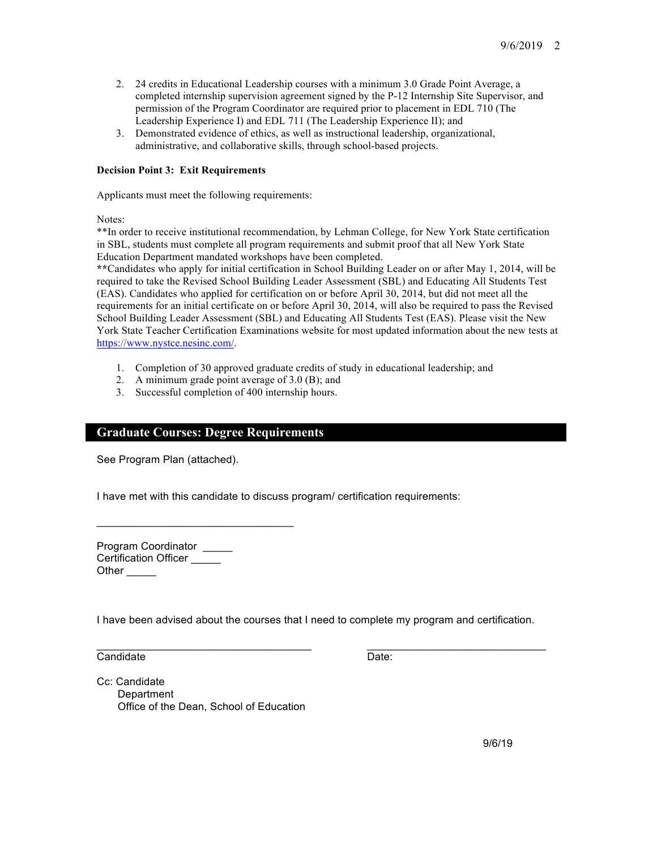- 2. 24 credits in Educational Leadership courses with a minimum 3.0 Grade Point Average, a completed internship supervision agreement signed by the P-12 Internship Site Supervisor, and permission of the Program Coordinator are required prior to placement in EDL 710 (The Leadership Experience I) and EDL 711 (The Leadership Experience II); and
- 3. Demonstrated evidence of ethics, as well as instructional leadership, organizational, administrative, and collaborative skills, through school-based projects.

## **Decision Point 3: Exit Requirements**

Applicants must meet the following requirements:

Notes:

\*\*In order to receive institutional recommendation, by Lehman College, for New York State certification in SBL, students must complete all program requirements and submit proof that all New York State Education Department mandated workshops have been completed.

**\*\***Candidates who apply for initial certification in School Building Leader on or after May 1, 2014, will be required to take the Revised School Building Leader Assessment (SBL) and Educating All Students Test (EAS). Candidates who applied for certification on or before April 30, 2014, but did not meet all the requirements for an initial certificate on or before April 30, 2014, will also be required to pass the Revised School Building Leader Assessment (SBL) and Educating All Students Test (EAS). Please visit the New York State Teacher Certification Examinations website for most updated information about the new tests at https://www.nystce.nesinc.com/.

- 1. Completion of 30 approved graduate credits of study in educational leadership; and
- 2. A minimum grade point average of 3.0 (B); and
- 3. Successful completion of 400 internship hours.

## **Graduate Courses: Degree Requirements**

\_\_\_\_\_\_\_\_\_\_\_\_\_\_\_\_\_\_\_\_\_\_\_\_\_\_\_\_\_\_\_\_\_

See Program Plan (attached).

I have met with this candidate to discuss program/ certification requirements:

Program Coordinator \_\_\_\_\_ Certification Officer \_\_\_\_\_ Other  $\qquad \qquad$ 

I have been advised about the courses that I need to complete my program and certification.

 $\_$  , and the set of the set of the set of the set of the set of the set of the set of the set of the set of the set of the set of the set of the set of the set of the set of the set of the set of the set of the set of th

Candidate Date:

Cc: Candidate **Department** Office of the Dean, School of Education

9/6/19